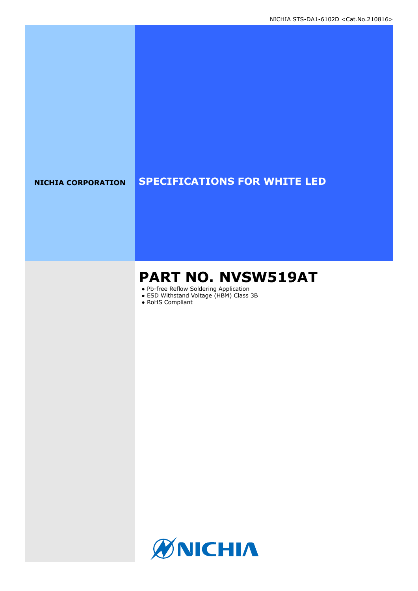## **NICHIA CORPORATION SPECIFICATIONS FOR WHITE LED**

# **PART NO. NVSW519AT**

- Pb-free Reflow Soldering Application
- ESD Withstand Voltage (HBM) Class 3B
- RoHS Compliant

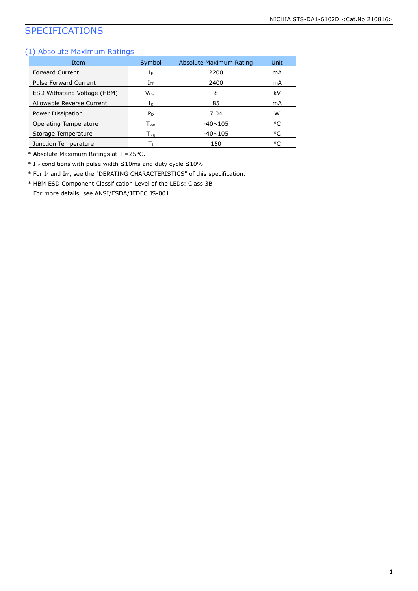## SPECIFICATIONS

#### (1) Absolute Maximum Ratings

| Item                         | Symbol                      | Absolute Maximum Rating | Unit |
|------------------------------|-----------------------------|-------------------------|------|
| <b>Forward Current</b>       | ΙF                          | 2200                    | mA   |
| <b>Pulse Forward Current</b> | $I_{FP}$                    | 2400                    | mA   |
| ESD Withstand Voltage (HBM)  | <b>VESD</b>                 | 8                       | kV   |
| Allowable Reverse Current    | Ir                          | 85                      | mA   |
| Power Dissipation            | P <sub>D</sub>              | 7.04                    | w    |
| Operating Temperature        | $\mathsf{T}_{\mathsf{oor}}$ | $-40 \sim 105$          | °C   |
| Storage Temperature          | $\mathsf{T}_{\mathsf{stg}}$ | $-40 \sim 105$          | °C   |
| Junction Temperature         | Тı                          | 150                     | °C   |

\* Absolute Maximum Ratings at T<sub>J</sub>=25°C.

\* IFP conditions with pulse width  $\leq$ 10ms and duty cycle  $\leq$ 10%.

\* For I<sup>F</sup> and IFP, see the "DERATING CHARACTERISTICS" of this specification.

\* HBM ESD Component Classification Level of the LEDs: Class 3B

For more details, see ANSI/ESDA/JEDEC JS-001.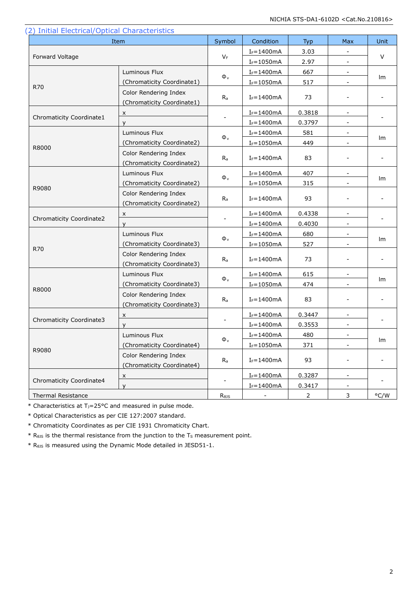| (2) Initial Electrical/Optical Characteristics | Item                                                | Symbol                    | Condition      | Typ    | Max                      | Unit |  |
|------------------------------------------------|-----------------------------------------------------|---------------------------|----------------|--------|--------------------------|------|--|
|                                                |                                                     |                           | $I_F = 1400mA$ | 3.03   | $\blacksquare$           |      |  |
| Forward Voltage                                |                                                     | $V_F$                     | $I_F = 1050mA$ | 2.97   | $\blacksquare$           | V    |  |
|                                                | Luminous Flux                                       |                           | $I_F = 1400mA$ | 667    |                          |      |  |
|                                                | (Chromaticity Coordinate1)                          | $\Phi_{v}$                | $I_F = 1050mA$ | 517    |                          | lm   |  |
| <b>R70</b>                                     | Color Rendering Index<br>(Chromaticity Coordinate1) | $R_a$                     | $I_F = 1400mA$ | 73     | $\overline{\phantom{a}}$ |      |  |
|                                                | X                                                   |                           | $I_F = 1400mA$ | 0.3818 | $\blacksquare$           |      |  |
| Chromaticity Coordinate1                       | y                                                   |                           | $I_F = 1400mA$ | 0.3797 | $\blacksquare$           |      |  |
|                                                | Luminous Flux                                       |                           | $I_F = 1400mA$ | 581    |                          |      |  |
|                                                | (Chromaticity Coordinate2)                          | $\Phi_{v}$                | $I_F = 1050mA$ | 449    |                          | lm   |  |
| R8000                                          | Color Rendering Index<br>(Chromaticity Coordinate2) | $R_{a}$                   | $I_F = 1400mA$ | 83     | $\overline{\phantom{a}}$ |      |  |
|                                                | Luminous Flux                                       |                           | $I_F = 1400mA$ | 407    | $\overline{\phantom{a}}$ |      |  |
|                                                | (Chromaticity Coordinate2)                          | $\Phi_{\rm v}$            | $I_F = 1050mA$ | 315    |                          | lm   |  |
| R9080                                          | Color Rendering Index<br>(Chromaticity Coordinate2) | $R_{a}$                   | $I_F = 1400mA$ | 93     | -                        |      |  |
|                                                | X                                                   |                           | $I_F = 1400mA$ | 0.4338 | $\blacksquare$           |      |  |
| Chromaticity Coordinate2                       | y                                                   |                           | $I_F = 1400mA$ | 0.4030 | $\blacksquare$           |      |  |
|                                                | Luminous Flux                                       |                           | $I_F = 1400mA$ | 680    |                          |      |  |
|                                                | (Chromaticity Coordinate3)                          | $\Phi_{v}$                | $I_F = 1050mA$ | 527    | $\overline{\phantom{a}}$ | lm   |  |
| <b>R70</b>                                     | Color Rendering Index<br>(Chromaticity Coordinate3) | $R_{a}$                   | $I_F = 1400mA$ | 73     | $\overline{\phantom{a}}$ |      |  |
|                                                | Luminous Flux                                       |                           | $I_F = 1400mA$ | 615    | $\blacksquare$           |      |  |
|                                                | (Chromaticity Coordinate3)                          | $\Phi_{\rm v}$            | $I_F = 1050mA$ | 474    |                          | lm   |  |
| R8000                                          | Color Rendering Index<br>(Chromaticity Coordinate3) | $R_{a}$                   | $I_F = 1400mA$ | 83     | $\overline{\phantom{a}}$ |      |  |
|                                                | X                                                   |                           | $I_F = 1400mA$ | 0.3447 | $\blacksquare$           |      |  |
| Chromaticity Coordinate3                       | v                                                   |                           | $I_F = 1400mA$ | 0.3553 | $\overline{\phantom{a}}$ |      |  |
|                                                | Luminous Flux                                       |                           | $I_F = 1400mA$ | 480    |                          |      |  |
|                                                | (Chromaticity Coordinate4)                          | $\Phi_{\rm v}$            | $I_F = 1050mA$ | 371    |                          | Im   |  |
| R9080                                          | Color Rendering Index<br>(Chromaticity Coordinate4) | $\mathsf{R}_{\mathsf{a}}$ | $I_F = 1400mA$ | 93     |                          |      |  |
|                                                | X                                                   |                           | $I_F = 1400mA$ | 0.3287 | $\blacksquare$           |      |  |
| Chromaticity Coordinate4                       | y                                                   |                           | $I_F = 1400mA$ | 0.3417 |                          |      |  |
| Thermal Resistance                             | R <sub>0JS</sub>                                    |                           | $\overline{2}$ | 3      | °C/W                     |      |  |

 $\mathbf{L}$ 

\* Characteristics at TJ=25°C and measured in pulse mode.

\* Optical Characteristics as per CIE 127:2007 standard.

\* Chromaticity Coordinates as per CIE 1931 Chromaticity Chart.

 $*$  R<sub>0JS</sub> is the thermal resistance from the junction to the T<sub>S</sub> measurement point.

\* RθJS is measured using the Dynamic Mode detailed in JESD51-1.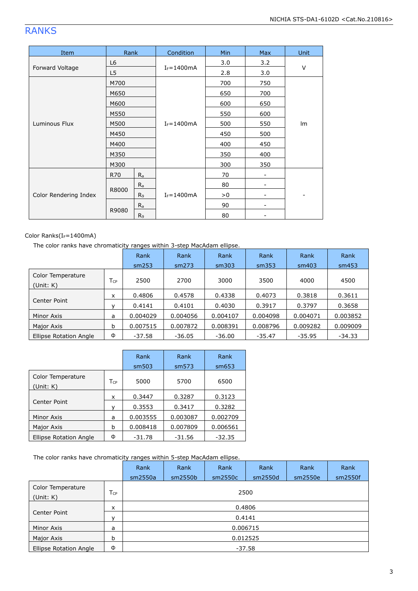## RANKS

| Item                  | Rank           |                | Condition      | Min | <b>Max</b> | Unit |  |
|-----------------------|----------------|----------------|----------------|-----|------------|------|--|
|                       | L6             |                |                | 3.0 | 3.2        |      |  |
| Forward Voltage       | L <sub>5</sub> |                | $I_F = 1400mA$ | 2.8 | 3.0        | V    |  |
|                       | M700           |                |                | 700 | 750        |      |  |
|                       | M650           |                |                | 650 | 700        |      |  |
|                       | M600           |                |                | 600 | 650        |      |  |
|                       | M550           |                |                | 550 | 600        |      |  |
| Luminous Flux         | M500           |                | $I_F = 1400mA$ | 500 | 550        | Im   |  |
|                       | M450           |                |                | 450 | 500        |      |  |
|                       | M400           |                |                | 400 | 450        |      |  |
|                       | M350           |                |                | 350 | 400        |      |  |
|                       | M300           |                |                | 300 | 350        |      |  |
|                       | R70            | $R_{a}$        |                | 70  | -          |      |  |
|                       |                | $R_{a}$        |                | 80  |            |      |  |
| Color Rendering Index | R8000          | R <sub>9</sub> | $I_F = 1400mA$ | > 0 | -          |      |  |
|                       |                | $R_a$          |                | 90  |            |      |  |
|                       | R9080          | R9             |                | 80  |            |      |  |

#### Color Ranks(IF=1400mA)

The color ranks have chromaticity ranges within 3-step MacAdam ellipse.

|                                |          | Rank     | Rank     | Rank     | Rank     | Rank     | Rank     |
|--------------------------------|----------|----------|----------|----------|----------|----------|----------|
|                                |          | sm253    | sm273    | sm303    | sm353    | sm403    | sm453    |
| Color Temperature<br>(Unit: K) | $T_{CP}$ | 2500     | 2700     | 3000     | 3500     | 4000     | 4500     |
|                                | x        | 0.4806   | 0.4578   | 0.4338   | 0.4073   | 0.3818   | 0.3611   |
| Center Point                   | v        | 0.4141   | 0.4101   | 0.4030   | 0.3917   | 0.3797   | 0.3658   |
| Minor Axis                     | a        | 0.004029 | 0.004056 | 0.004107 | 0.004098 | 0.004071 | 0.003852 |
| Major Axis                     | b        | 0.007515 | 0.007872 | 0.008391 | 0.008796 | 0.009282 | 0.009009 |
| Ellipse Rotation Angle         | Φ        | $-37.58$ | $-36.05$ | $-36.00$ | -35.47   | $-35.95$ | -34.33   |

|                                |          | Rank     | Rank     | Rank     |
|--------------------------------|----------|----------|----------|----------|
|                                |          | sm503    | sm573    | sm653    |
| Color Temperature<br>(Unit: K) | $T_{CP}$ | 5000     | 5700     | 6500     |
|                                | x        | 0.3447   | 0.3287   | 0.3123   |
| Center Point                   |          | 0.3553   | 0.3417   | 0.3282   |
| Minor Axis                     | a        | 0.003555 | 0.003087 | 0.002709 |
| Major Axis                     | b        | 0.008418 | 0.007809 | 0.006561 |
| Ellipse Rotation Angle         | Φ        | -31.78   | $-31.56$ | $-32.35$ |

The color ranks have chromaticity ranges within 5-step MacAdam ellipse.

|                                |                 | Rank     | Rank    | Rank     | Rank    | Rank    | Rank    |  |  |  |
|--------------------------------|-----------------|----------|---------|----------|---------|---------|---------|--|--|--|
|                                |                 | sm2550a  | sm2550b | sm2550c  | sm2550d | sm2550e | sm2550f |  |  |  |
| Color Temperature<br>(Unit: K) | $T_{\text{CP}}$ |          | 2500    |          |         |         |         |  |  |  |
|                                | x               | 0.4806   |         |          |         |         |         |  |  |  |
| Center Point                   | v               |          | 0.4141  |          |         |         |         |  |  |  |
| Minor Axis                     | a               |          |         | 0.006715 |         |         |         |  |  |  |
| Major Axis                     | b               | 0.012525 |         |          |         |         |         |  |  |  |
| Ellipse Rotation Angle         | Φ               | $-37.58$ |         |          |         |         |         |  |  |  |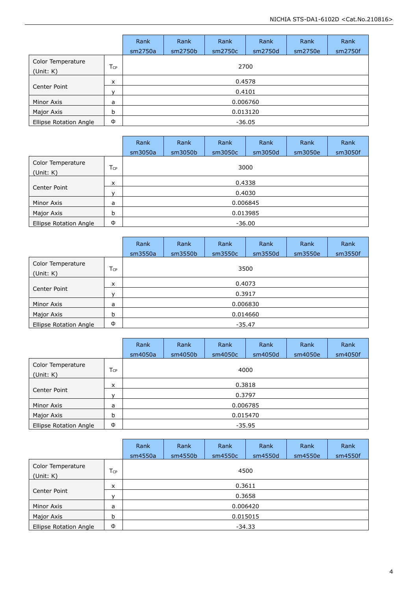|                                |                 |          | Rank    | Rank     | Rank    | Rank    | Rank    |  |  |  |
|--------------------------------|-----------------|----------|---------|----------|---------|---------|---------|--|--|--|
|                                |                 | sm2750a  | sm2750b | sm2750c  | sm2750d | sm2750e | sm2750f |  |  |  |
| Color Temperature<br>(Unit: K) | T <sub>CP</sub> |          | 2700    |          |         |         |         |  |  |  |
|                                | X               | 0.4578   |         |          |         |         |         |  |  |  |
| Center Point                   | v               |          | 0.4101  |          |         |         |         |  |  |  |
| Minor Axis                     | a               |          |         | 0.006760 |         |         |         |  |  |  |
| Major Axis                     | b               | 0.013120 |         |          |         |         |         |  |  |  |
| Ellipse Rotation Angle         | Ф               | $-36.05$ |         |          |         |         |         |  |  |  |

|                                |                 | Rank     | Rank                | Rank    | Rank    | Rank    | Rank    |  |  |  |
|--------------------------------|-----------------|----------|---------------------|---------|---------|---------|---------|--|--|--|
|                                |                 | sm3050a  | sm3050 <sub>b</sub> | sm3050c | sm3050d | sm3050e | sm3050f |  |  |  |
| Color Temperature<br>(Unit: K) | T <sub>CP</sub> | 3000     |                     |         |         |         |         |  |  |  |
|                                | x               | 0.4338   |                     |         |         |         |         |  |  |  |
| Center Point                   | $\mathsf{v}$    |          | 0.4030              |         |         |         |         |  |  |  |
| Minor Axis                     | a               |          | 0.006845            |         |         |         |         |  |  |  |
| Major Axis                     | b               | 0.013985 |                     |         |         |         |         |  |  |  |
| Ellipse Rotation Angle         | Φ               | $-36.00$ |                     |         |         |         |         |  |  |  |

|                                |                 | Rank<br>sm3550a | Rank<br>sm3550b | Rank<br>sm3550c | Rank<br>sm3550d | Rank<br>sm3550e | Rank<br>sm3550f |  |  |  |
|--------------------------------|-----------------|-----------------|-----------------|-----------------|-----------------|-----------------|-----------------|--|--|--|
| Color Temperature<br>(Unit: K) | T <sub>CP</sub> | 3500            |                 |                 |                 |                 |                 |  |  |  |
|                                | x               | 0.4073          |                 |                 |                 |                 |                 |  |  |  |
| Center Point                   | v               |                 | 0.3917          |                 |                 |                 |                 |  |  |  |
| Minor Axis                     | a               |                 | 0.006830        |                 |                 |                 |                 |  |  |  |
| Major Axis                     | b               | 0.014660        |                 |                 |                 |                 |                 |  |  |  |
| Ellipse Rotation Angle         | Φ               | -35.47          |                 |                 |                 |                 |                 |  |  |  |

|                                |                 | Rank<br>sm4050a | Rank<br>sm4050b | Rank<br>sm4050c | Rank<br>sm4050d | Rank<br>sm4050e | Rank<br>sm4050f |  |  |
|--------------------------------|-----------------|-----------------|-----------------|-----------------|-----------------|-----------------|-----------------|--|--|
| Color Temperature<br>(Unit: K) | T <sub>CP</sub> | 4000            |                 |                 |                 |                 |                 |  |  |
| Center Point                   | x               | 0.3818          |                 |                 |                 |                 |                 |  |  |
|                                | $\mathbf{v}$    |                 | 0.3797          |                 |                 |                 |                 |  |  |
| Minor Axis                     | a               |                 |                 |                 | 0.006785        |                 |                 |  |  |
| Major Axis                     | b               | 0.015470        |                 |                 |                 |                 |                 |  |  |
| <b>Ellipse Rotation Angle</b>  | Φ               | $-35.95$        |                 |                 |                 |                 |                 |  |  |

|                                |     | Rank<br>sm4550a | Rank<br>sm4550b | Rank<br>sm4550c | Rank<br>sm4550d | Rank<br>sm4550e | Rank<br>sm4550f |  |  |
|--------------------------------|-----|-----------------|-----------------|-----------------|-----------------|-----------------|-----------------|--|--|
| Color Temperature<br>(Unit: K) | Tcp | 4500            |                 |                 |                 |                 |                 |  |  |
|                                | x   | 0.3611          |                 |                 |                 |                 |                 |  |  |
| Center Point                   | v   |                 | 0.3658          |                 |                 |                 |                 |  |  |
| Minor Axis                     | a   |                 |                 | 0.006420        |                 |                 |                 |  |  |
| Major Axis                     | b   | 0.015015        |                 |                 |                 |                 |                 |  |  |
| Ellipse Rotation Angle         | Φ   | -34.33          |                 |                 |                 |                 |                 |  |  |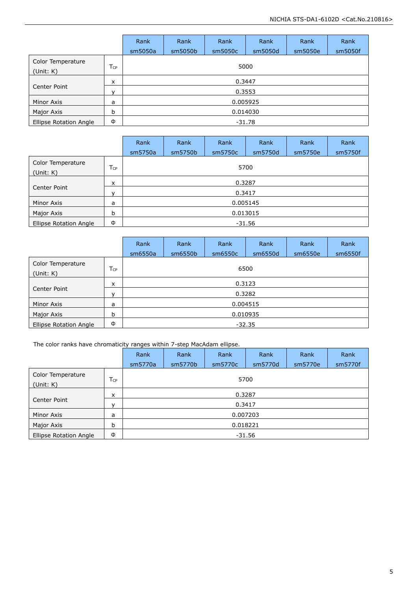|                                |                 | Rank     | Rank     | Rank    | Rank    | Rank    | Rank    |  |  |  |
|--------------------------------|-----------------|----------|----------|---------|---------|---------|---------|--|--|--|
|                                |                 | sm5050a  | sm5050b  | sm5050c | sm5050d | sm5050e | sm5050f |  |  |  |
| Color Temperature<br>(Unit: K) | T <sub>CP</sub> | 5000     |          |         |         |         |         |  |  |  |
|                                | X               | 0.3447   |          |         |         |         |         |  |  |  |
| Center Point                   | v               |          | 0.3553   |         |         |         |         |  |  |  |
| Minor Axis                     | a               |          | 0.005925 |         |         |         |         |  |  |  |
| Major Axis                     | b               | 0.014030 |          |         |         |         |         |  |  |  |
| Ellipse Rotation Angle         | Φ               | -31.78   |          |         |         |         |         |  |  |  |

|                                |                 | Rank     | Rank     | Rank    | Rank    | Rank    | Rank    |  |  |  |
|--------------------------------|-----------------|----------|----------|---------|---------|---------|---------|--|--|--|
|                                |                 | sm5750a  | sm5750b  | sm5750c | sm5750d | sm5750e | sm5750f |  |  |  |
| Color Temperature<br>(Unit: K) | T <sub>CP</sub> |          | 5700     |         |         |         |         |  |  |  |
|                                | 0.3287<br>x     |          |          |         |         |         |         |  |  |  |
| Center Point                   | $\mathbf{v}$    | 0.3417   |          |         |         |         |         |  |  |  |
| Minor Axis                     | a               |          | 0.005145 |         |         |         |         |  |  |  |
| Major Axis                     | b               | 0.013015 |          |         |         |         |         |  |  |  |
| Ellipse Rotation Angle         | Φ               |          |          |         | -31.56  |         |         |  |  |  |

|                                |                            | Rank<br>sm6550a | Rank<br>sm6550b | Rank<br>sm6550c | Rank<br>sm6550d | Rank<br>sm6550e | Rank<br>sm6550f |  |  |
|--------------------------------|----------------------------|-----------------|-----------------|-----------------|-----------------|-----------------|-----------------|--|--|
| Color Temperature<br>(Unit: K) | $T_{\text{CP}}$            |                 | 6500            |                 |                 |                 |                 |  |  |
|                                | 0.3123<br>x<br>0.3282<br>v |                 |                 |                 |                 |                 |                 |  |  |
| Center Point                   |                            |                 |                 |                 |                 |                 |                 |  |  |
| Minor Axis                     | a                          | 0.004515        |                 |                 |                 |                 |                 |  |  |
| Major Axis                     | b                          | 0.010935        |                 |                 |                 |                 |                 |  |  |
| Ellipse Rotation Angle         | Φ                          | $-32.35$        |                 |                 |                 |                 |                 |  |  |

The color ranks have chromaticity ranges within 7-step MacAdam ellipse.

|                                |              | Rank     | Rank     | Rank    | Rank    | Rank    | Rank    |  |  |
|--------------------------------|--------------|----------|----------|---------|---------|---------|---------|--|--|
|                                |              | sm5770a  | sm5770b  | sm5770c | sm5770d | sm5770e | sm5770f |  |  |
| Color Temperature<br>(Unit: K) | Tcp          |          | 5700     |         |         |         |         |  |  |
|                                | x            | 0.3287   |          |         |         |         |         |  |  |
| Center Point                   | $\mathbf{v}$ | 0.3417   |          |         |         |         |         |  |  |
| Minor Axis                     | a            |          | 0.007203 |         |         |         |         |  |  |
| Major Axis                     | b            | 0.018221 |          |         |         |         |         |  |  |
| Ellipse Rotation Angle         | Φ            | $-31.56$ |          |         |         |         |         |  |  |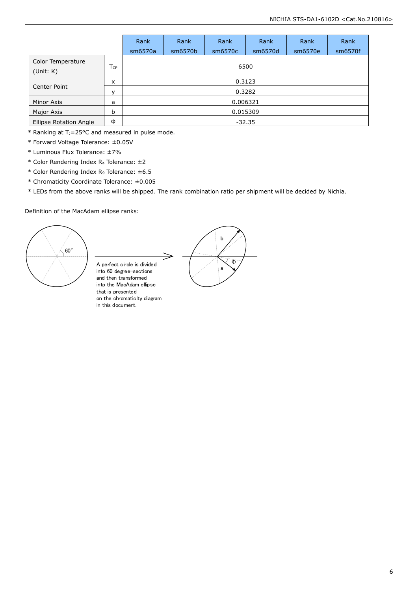|                                        |                 | Rank     | Rank     | Rank    | Rank    | Rank    | Rank    |  |  |
|----------------------------------------|-----------------|----------|----------|---------|---------|---------|---------|--|--|
|                                        |                 | sm6570a  | sm6570b  | sm6570c | sm6570d | sm6570e | sm6570f |  |  |
| Color Temperature<br>(Unit: K)         | $T_{\text{CP}}$ |          | 6500     |         |         |         |         |  |  |
| x                                      |                 |          |          |         | 0.3123  |         |         |  |  |
| Center Point<br>0.3282<br>$\mathsf{v}$ |                 |          |          |         |         |         |         |  |  |
| Minor Axis                             | a               |          | 0.006321 |         |         |         |         |  |  |
| Major Axis                             | b               | 0.015309 |          |         |         |         |         |  |  |
| Ellipse Rotation Angle                 | Φ               |          |          |         | -32.35  |         |         |  |  |

 $*$  Ranking at T<sub>J</sub>=25°C and measured in pulse mode.

- \* Forward Voltage Tolerance: ±0.05V
- \* Luminous Flux Tolerance: ±7%
- \* Color Rendering Index R<sup>a</sup> Tolerance: ±2
- \* Color Rendering Index R<sup>9</sup> Tolerance: ±6.5
- \* Chromaticity Coordinate Tolerance: ±0.005
- \* LEDs from the above ranks will be shipped. The rank combination ratio per shipment will be decided by Nichia.

#### Definition of the MacAdam ellipse ranks:



A perfect circle is divided into 60 degree-sections and then transformed into the MacAdam ellipse that is presented on the chromaticity diagram in this document.

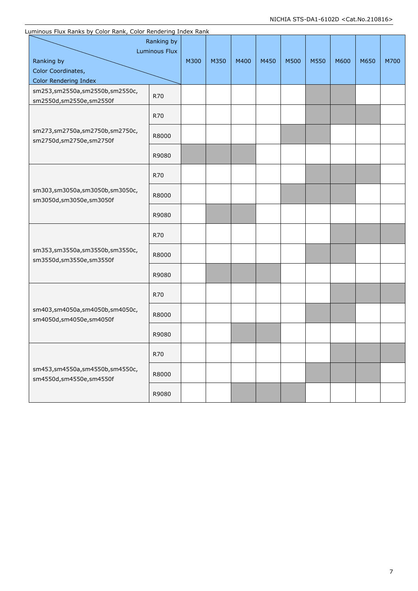|  | Luminous Flux Ranks by Color Rank, Color Rendering Index Rank                      |       |      |      |      |      |      |      |      |      |      |
|--|------------------------------------------------------------------------------------|-------|------|------|------|------|------|------|------|------|------|
|  | Ranking by<br><b>Luminous Flux</b><br>Ranking by<br>Color Coordinates,             |       | M300 | M350 | M400 | M450 | M500 | M550 | M600 | M650 | M700 |
|  | Color Rendering Index<br>sm253,sm2550a,sm2550b,sm2550c,<br>sm2550d,sm2550e,sm2550f | R70   |      |      |      |      |      |      |      |      |      |
|  |                                                                                    | R70   |      |      |      |      |      |      |      |      |      |
|  | sm273,sm2750a,sm2750b,sm2750c,<br>sm2750d,sm2750e,sm2750f                          | R8000 |      |      |      |      |      |      |      |      |      |
|  |                                                                                    | R9080 |      |      |      |      |      |      |      |      |      |
|  |                                                                                    | R70   |      |      |      |      |      |      |      |      |      |
|  | sm303,sm3050a,sm3050b,sm3050c,<br>sm3050d,sm3050e,sm3050f                          | R8000 |      |      |      |      |      |      |      |      |      |
|  |                                                                                    | R9080 |      |      |      |      |      |      |      |      |      |
|  |                                                                                    | R70   |      |      |      |      |      |      |      |      |      |
|  | sm353,sm3550a,sm3550b,sm3550c,<br>sm3550d,sm3550e,sm3550f                          | R8000 |      |      |      |      |      |      |      |      |      |
|  |                                                                                    | R9080 |      |      |      |      |      |      |      |      |      |
|  |                                                                                    | R70   |      |      |      |      |      |      |      |      |      |
|  | sm403,sm4050a,sm4050b,sm4050c,<br>sm4050d,sm4050e,sm4050f                          | R8000 |      |      |      |      |      |      |      |      |      |
|  |                                                                                    | R9080 |      |      |      |      |      |      |      |      |      |
|  |                                                                                    | R70   |      |      |      |      |      |      |      |      |      |
|  | sm453,sm4550a,sm4550b,sm4550c,<br>sm4550d,sm4550e,sm4550f                          | R8000 |      |      |      |      |      |      |      |      |      |
|  |                                                                                    | R9080 |      |      |      |      |      |      |      |      |      |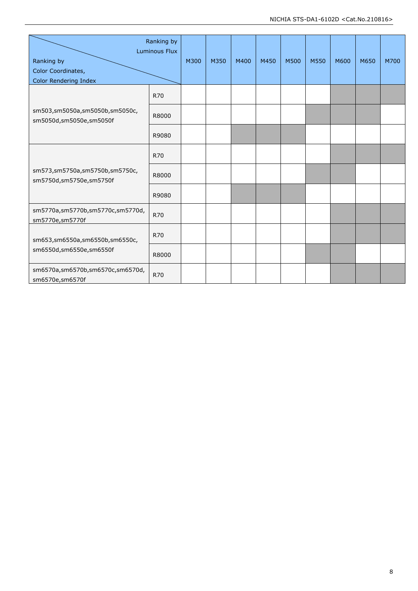| Ranking by<br><b>Luminous Flux</b>                        |            |      |      |      |      |      |      |      |      |      |
|-----------------------------------------------------------|------------|------|------|------|------|------|------|------|------|------|
| Ranking by                                                |            | M300 | M350 | M400 | M450 | M500 | M550 | M600 | M650 | M700 |
| Color Coordinates,                                        |            |      |      |      |      |      |      |      |      |      |
| Color Rendering Index                                     |            |      |      |      |      |      |      |      |      |      |
|                                                           | <b>R70</b> |      |      |      |      |      |      |      |      |      |
| sm503,sm5050a,sm5050b,sm5050c,<br>sm5050d,sm5050e,sm5050f | R8000      |      |      |      |      |      |      |      |      |      |
|                                                           | R9080      |      |      |      |      |      |      |      |      |      |
|                                                           | <b>R70</b> |      |      |      |      |      |      |      |      |      |
| sm573,sm5750a,sm5750b,sm5750c,<br>sm5750d,sm5750e,sm5750f | R8000      |      |      |      |      |      |      |      |      |      |
|                                                           | R9080      |      |      |      |      |      |      |      |      |      |
| sm5770a,sm5770b,sm5770c,sm5770d,<br>sm5770e,sm5770f       | <b>R70</b> |      |      |      |      |      |      |      |      |      |
| sm653,sm6550a,sm6550b,sm6550c,                            | <b>R70</b> |      |      |      |      |      |      |      |      |      |
| sm6550d,sm6550e,sm6550f                                   | R8000      |      |      |      |      |      |      |      |      |      |
| sm6570a,sm6570b,sm6570c,sm6570d,<br>sm6570e,sm6570f       | <b>R70</b> |      |      |      |      |      |      |      |      |      |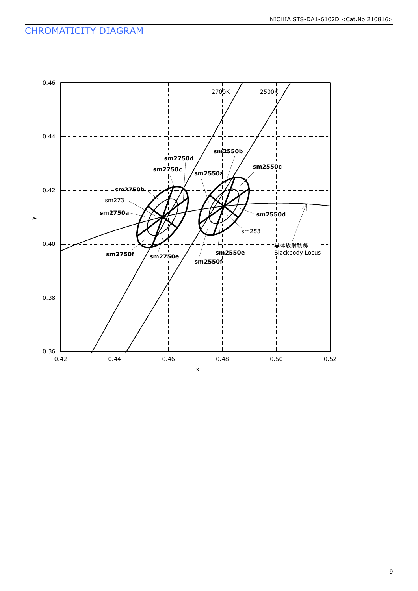## CHROMATICITY DIAGRAM

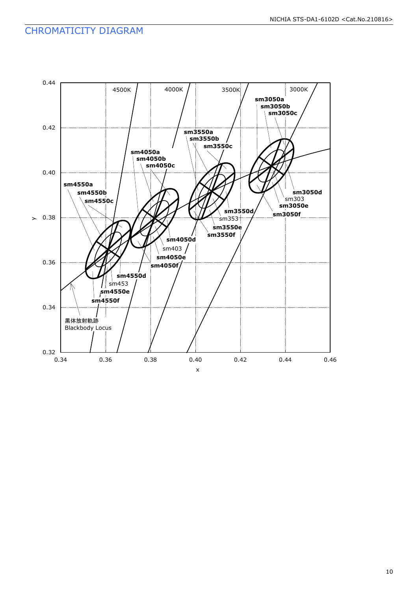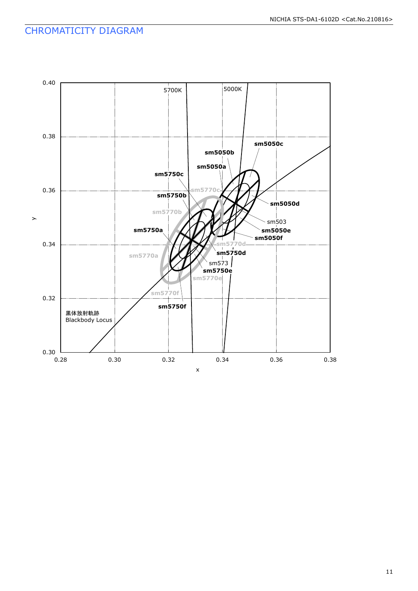## CHROMATICITY DIAGRAM

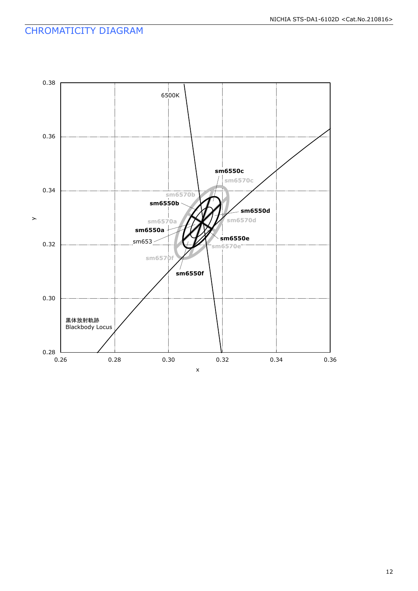## CHROMATICITY DIAGRAM

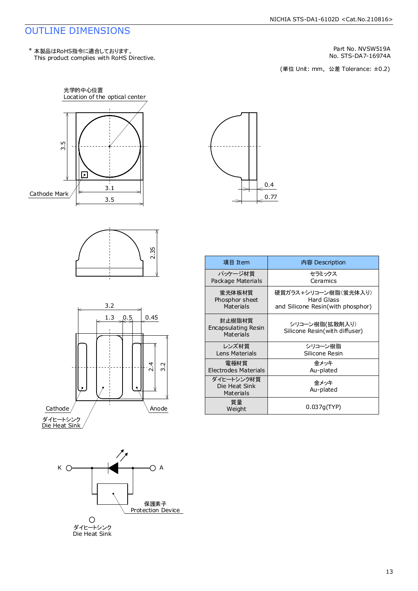#### OUTLINE DIMENSIONS

Part No. NVSW519A<br>No. STS-DA7-16974A<br>(単位 Unit: mm, 公差 Tolerance: ±0.2) No. STS-DA7-16974A











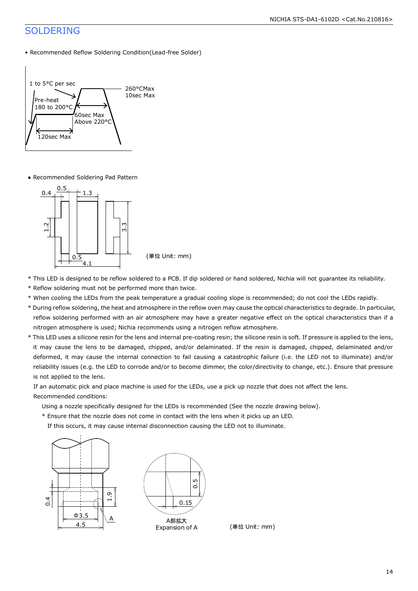## SOLDERING

• Recommended Reflow Soldering Condition(Lead-free Solder)



● Recommended Soldering Pad Pattern



- \* This LED is designed to be reflow soldered to a PCB. If dip soldered or hand soldered, Nichia will not guarantee its reliability.
- \* Reflow soldering must not be performed more than twice.
- \* When cooling the LEDs from the peak temperature a gradual cooling slope is recommended; do not cool the LEDs rapidly.
- \* During reflow soldering, the heat and atmosphere in the reflow oven may cause the optical characteristics to degrade. In particular, reflow soldering performed with an air atmosphere may have a greater negative effect on the optical characteristics than if a nitrogen atmosphere is used; Nichia recommends using a nitrogen reflow atmosphere.
- \* This LED uses a silicone resin for the lens and internal pre-coating resin; the silicone resin is soft. If pressure is applied to the lens, it may cause the lens to be damaged, chipped, and/or delaminated. If the resin is damaged, chipped, delaminated and/or deformed, it may cause the internal connection to fail causing a catastrophic failure (i.e. the LED not to illuminate) and/or reliability issues (e.g. the LED to corrode and/or to become dimmer, the color/directivity to change, etc.). Ensure that pressure is not applied to the lens.

 If an automatic pick and place machine is used for the LEDs, use a pick up nozzle that does not affect the lens. Recommended conditions:

- Using a nozzle specifically designed for the LEDs is recommended (See the nozzle drawing below).
- \* Ensure that the nozzle does not come in contact with the lens when it picks up an LED.
- If this occurs, it may cause internal disconnection causing the LED not to illuminate.





(単位 Unit: mm)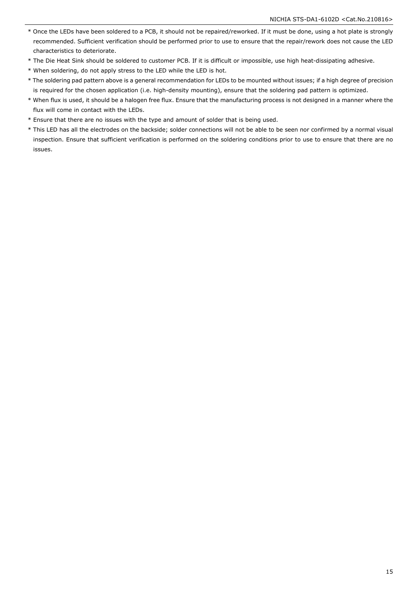- \* Once the LEDs have been soldered to a PCB, it should not be repaired/reworked. If it must be done, using a hot plate is strongly recommended. Sufficient verification should be performed prior to use to ensure that the repair/rework does not cause the LED characteristics to deteriorate.
- \* The Die Heat Sink should be soldered to customer PCB. If it is difficult or impossible, use high heat-dissipating adhesive.
- \* When soldering, do not apply stress to the LED while the LED is hot.
- \* The soldering pad pattern above is a general recommendation for LEDs to be mounted without issues; if a high degree of precision is required for the chosen application (i.e. high-density mounting), ensure that the soldering pad pattern is optimized.
- \* When flux is used, it should be a halogen free flux. Ensure that the manufacturing process is not designed in a manner where the flux will come in contact with the LEDs.
- \* Ensure that there are no issues with the type and amount of solder that is being used.
- \* This LED has all the electrodes on the backside; solder connections will not be able to be seen nor confirmed by a normal visual inspection. Ensure that sufficient verification is performed on the soldering conditions prior to use to ensure that there are no issues.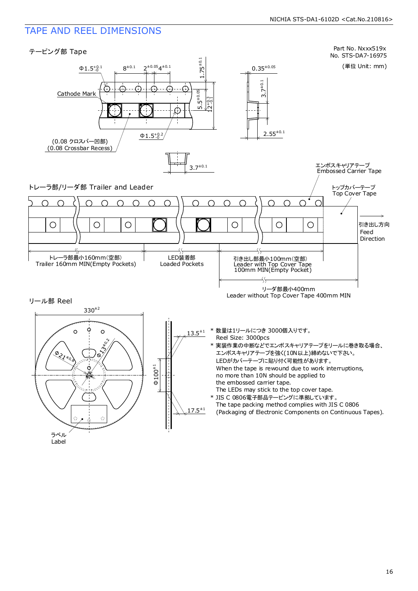#### TAPE AND REEL DIMENSIONS

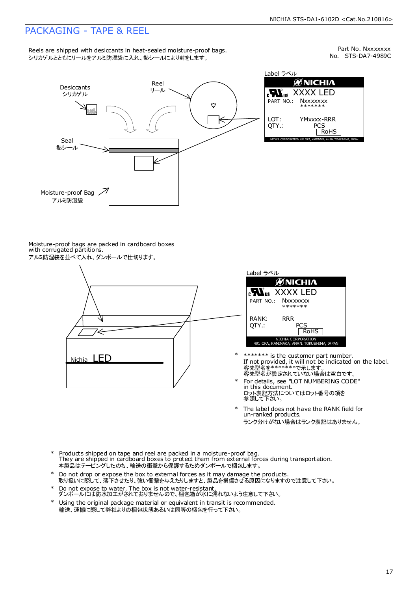## PACKAGING - TAPE & REEL

Reels are shipped with desiccants in heat-sealed moisture-proof bags. シリカゲルとともにリールをアルミ防湿袋に入れ、熱シールにより封をします。

No. STS-DA7-4989C Part No. Nxxxxxxx



Moisture-proof bags are packed in cardboard boxes with corrugated partitions. アルミ防湿袋を並べて入れ、ダンボールで仕切ります。



| Label ラベル                                                       |
|-----------------------------------------------------------------|
| <b>MNICHIA</b>                                                  |
| <b>Nus XXXX LED</b>                                             |
| PART NO.: NXXXXXXX<br>*******                                   |
| RANK:<br>RR R<br>OTY.:<br>PCS<br><b>RoHS</b>                    |
| NICHIA CORPORATION<br>491 OKA, KAMINAKA, ANAN, TOKUSHIMA, JAPAN |

- 客先型名が設定されていない場合は空白です。 客先型名を\*\*\*\*\*\*\*で示します。 If not provided, it will not be indicated on the label. \*\*\*\*\*\*\* is the customer part number.
- For details, see "LOT NUMBERING CODE" in this document. ロット表記方法についてはロット番号の項を<br>参照して下さい。
- The label does not have the RANK field for un-ranked products. ランク分けがない場合はランク表記はありません。 \*
- Products shipped on tape and reel are packed in a moisture-proof bag. They are shipped in cardboard boxes to protect them from external forces during transportation. 本製品はテーピングしたのち、輸送の衝撃から保護するためダンボールで梱包します。 \*
- Do not drop or expose the box to external forces as it may damage the products. 取り扱いに際して、落下させたり、強い衝撃を与えたりしますと、製品を損傷させる原因になりますので注意して下さい。 \*
- Do not expose to water. The box is not water-resistant. ダンボールには防水加工がされておりませんので、梱包箱が水に濡れないよう注意して下さい。 \*
- \* Using the original package material or equivalent in transit is recommended. 輸送、運搬に際して弊社よりの梱包状態あるいは同等の梱包を行って下さい。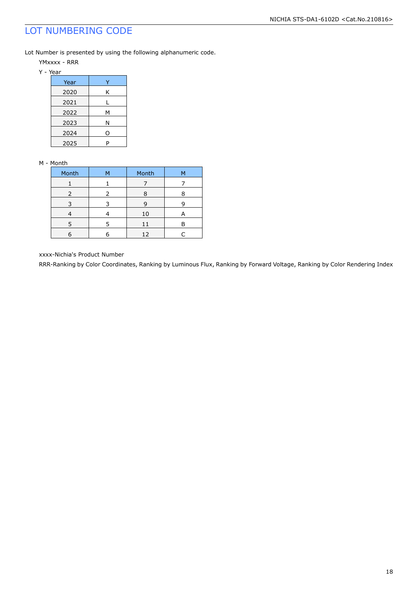## LOT NUMBERING CODE

Lot Number is presented by using the following alphanumeric code.

- YMxxxx RRR
- Y Year

| Year |   |
|------|---|
| 2020 | ĸ |
| 2021 |   |
| 2022 | М |
| 2023 | Ν |
| 2024 | O |
| 2025 |   |

#### M - Month

| Month | м | Month | м |
|-------|---|-------|---|
|       |   |       |   |
| 2     | 2 | 8     |   |
| 3     |   | 9     |   |
|       |   | 10    | A |
| 5     | 5 | 11    | Р |
|       |   | 12    |   |

xxxx-Nichia's Product Number

RRR-Ranking by Color Coordinates, Ranking by Luminous Flux, Ranking by Forward Voltage, Ranking by Color Rendering Index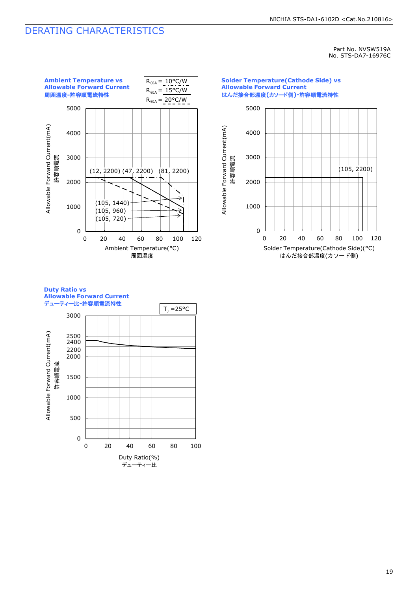#### DERATING CHARACTERISTICS

Part No. NVSW519A No. STS-DA7-16976C



#### **Duty Ratio vs Allowable Forward Current** デューティー比**-**許容順電流特性



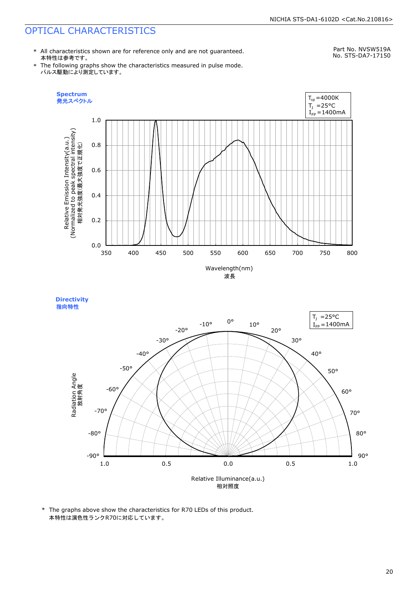\* All characteristics shown are for reference only and are not guaranteed. 本特性は参考です。

Part No. NVSW519A No. STS-DA7-17150

\* The following graphs show the characteristics measured in pulse mode. パルス駆動により測定しています。





\* The graphs above show the characteristics for R70 LEDs of this product. 本特性は演色性ランクR70に対応しています。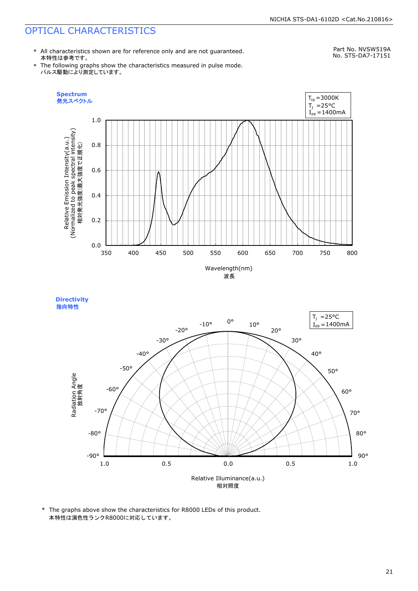\* All characteristics shown are for reference only and are not guaranteed. 本特性は参考です。

Part No. NVSW519A No. STS-DA7-17151

\* The following graphs show the characteristics measured in pulse mode. パルス駆動により測定しています。





\* The graphs above show the characteristics for R8000 LEDs of this product. 本特性は演色性ランクR8000に対応しています。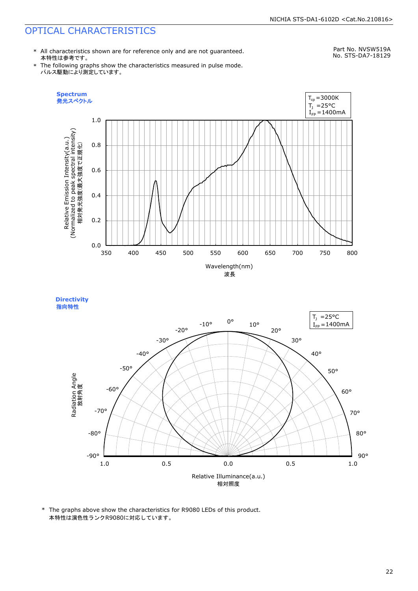\* All characteristics shown are for reference only and are not guaranteed. 本特性は参考です。

Part No. NVSW519A No. STS-DA7-18129

\* The following graphs show the characteristics measured in pulse mode. パルス駆動により測定しています。





\* The graphs above show the characteristics for R9080 LEDs of this product. 本特性は演色性ランクR9080に対応しています。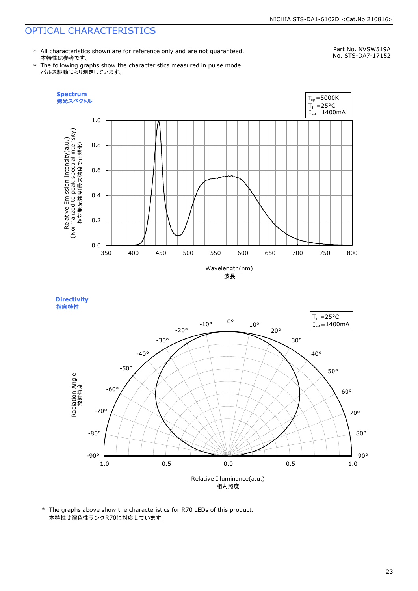\* All characteristics shown are for reference only and are not guaranteed. 本特性は参考です。

Part No. NVSW519A No. STS-DA7-17152

\* The following graphs show the characteristics measured in pulse mode. パルス駆動により測定しています。





\* The graphs above show the characteristics for R70 LEDs of this product. 本特性は演色性ランクR70に対応しています。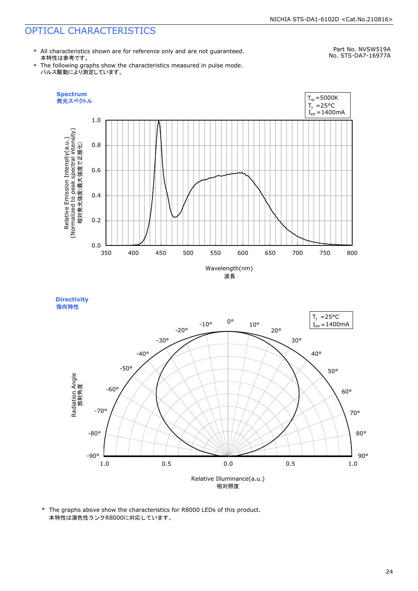\* All characteristics shown are for reference only and are not guaranteed. 本特性は参考です。

Part No. NVSW519A No. STS-DA7-16977A

\* The following graphs show the characteristics measured in pulse mode. パルス駆動により測定しています。





\* The graphs above show the characteristics for R8000 LEDs of this product. 本特性は演色性ランクR8000に対応しています。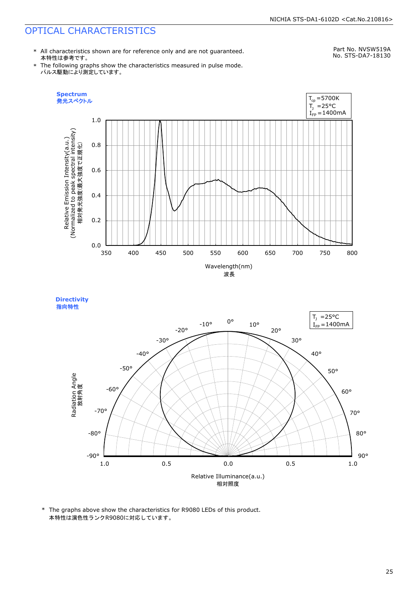**Directivity** 

\* All characteristics shown are for reference only and are not guaranteed. 本特性は参考です。

Part No. NVSW519A No. STS-DA7-18130

\* The following graphs show the characteristics measured in pulse mode. パルス駆動により測定しています。



Relative Illuminance(a.u.) 相対照度 90° 80° 70° 60° 50° 40° 30° 20° 10° 0° -10° -20° -30°  $-40^\circ$ -50° -60° -70° -80° -90° 指向特性Radiation Angle 放射角度 1.0 0.5 0.0 0.5 1.0  $I_{\text{FP}} = 1400 \text{mA}$  $T_1$  =25°C

\* The graphs above show the characteristics for R9080 LEDs of this product. 本特性は演色性ランクR9080に対応しています。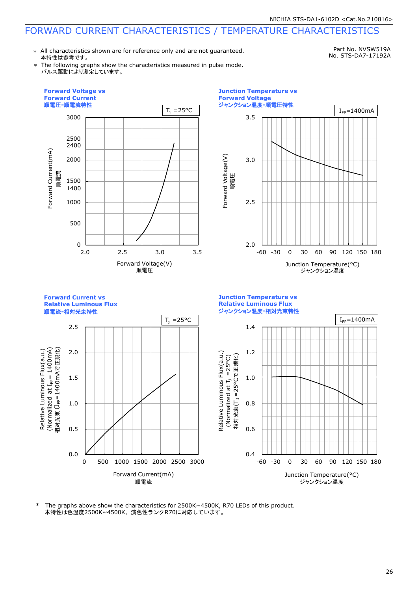\* All characteristics shown are for reference only and are not guaranteed. 本特性は参考です。

Part No. NVSW519A No. STS-DA7-17192A

The following graphs show the characteristics measured in pulse mode. パルス駆動により測定しています。







本特性は色温度2500K~4500K、演色性ランクR70に対応しています。 \* The graphs above show the characteristics for 2500K~4500K, R70 LEDs of this product.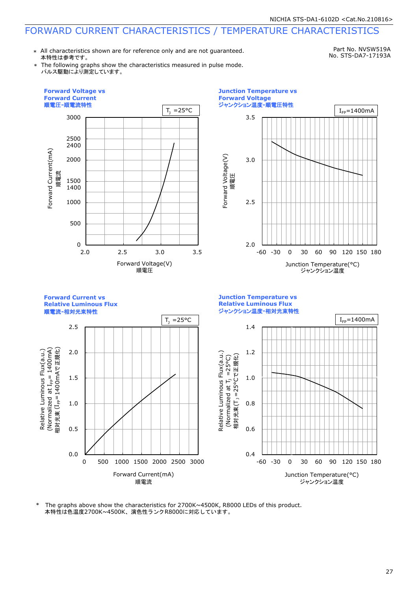\* All characteristics shown are for reference only and are not guaranteed. 本特性は参考です。

Part No. NVSW519A No. STS-DA7-17193A

The following graphs show the characteristics measured in pulse mode. パルス駆動により測定しています。





**Forward Current vs Junction Temperature vs Relative Luminous Flux Relative Luminous Flux** 順電流**-**相対光束特性 ジャンクション温度**-**相対光束特性  $T_1 = 25^{\circ}C$   $I_{\text{Fp}} = 1400 \text{mA}$ 2.5 1.4 (Normalized at I<sub>FP</sub>= 1400mA)<br>相対光束 (I<sub>FP</sub>=1400mAで正規化) Relative Luminous Flux(a.u.) (Normalized  $1_{\text{lp}}=1400$ mA) 相対光束 (I<sub>FP</sub>=1400mAで正規化) Relative Luminous Flux(a.u.) 2.0 1.2 Relative Luminous Flux(a.u.) 相対光束(T」=25°Cで正規化) (Normalized at  $T_1 = 25^{\circ}$ C) 1.5 1.0 m i 1.0 0.8 0.5 0.6 0.0 0.4 0 500 1000 1500 2000 2500 3000 -60 -30 0 30 60 90 120 150 180 Forward Current(mA) Junction Temperature(°C) 順電流 ジャンクション温度

本特性は色温度2700K~4500K、演色性ランクR8000に対応しています。 \* The graphs above show the characteristics for 2700K~4500K, R8000 LEDs of this product.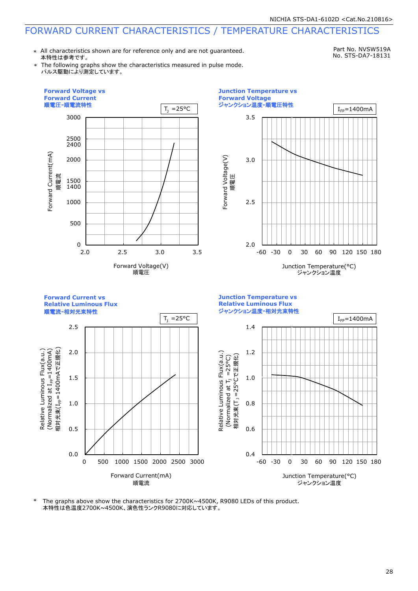\* All characteristics shown are for reference only and are not guaranteed. 本特性は参考です。

Part No. NVSW519A No. STS-DA7-18131

The following graphs show the characteristics measured in pulse mode. パルス駆動により測定しています。



The graphs above show the characteristics for  $2700K \sim 4500K$ , R9080 LEDs of this product. 本特性は色温度2700K~4500K、演色性ランクR9080に対応しています。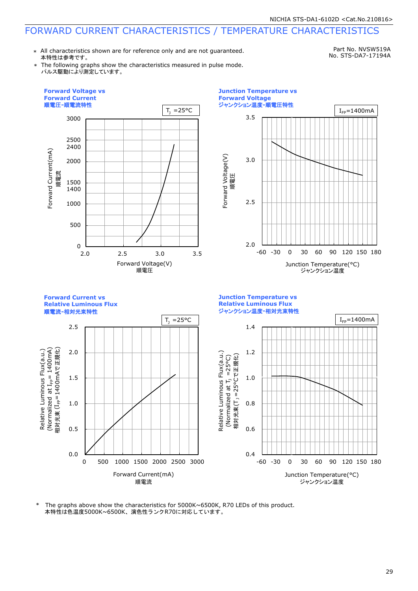\* All characteristics shown are for reference only and are not guaranteed. 本特性は参考です。

Part No. NVSW519A No. STS-DA7-17194A

The following graphs show the characteristics measured in pulse mode. パルス駆動により測定しています。







本特性は色温度5000K~6500K、演色性ランクR70に対応しています。 \* The graphs above show the characteristics for 5000K~6500K, R70 LEDs of this product.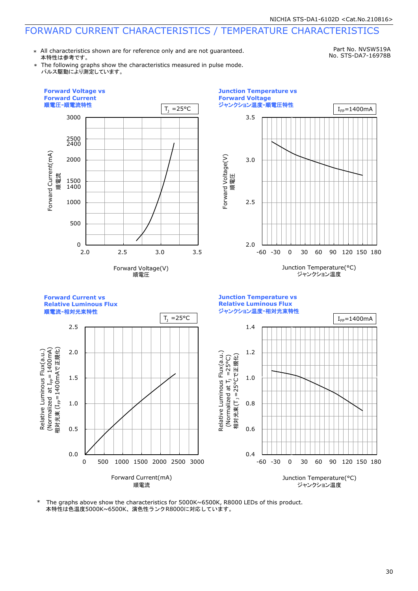\* All characteristics shown are for reference only and are not guaranteed. 本特性は参考です。

Part No. NVSW519A No. STS-DA7-16978B

The following graphs show the characteristics measured in pulse mode. パルス駆動により測定しています。



本特性は色温度5000K~6500K、演色性ランクR8000に対応しています。 \* The graphs above show the characteristics for 5000K~6500K, R8000 LEDs of this product.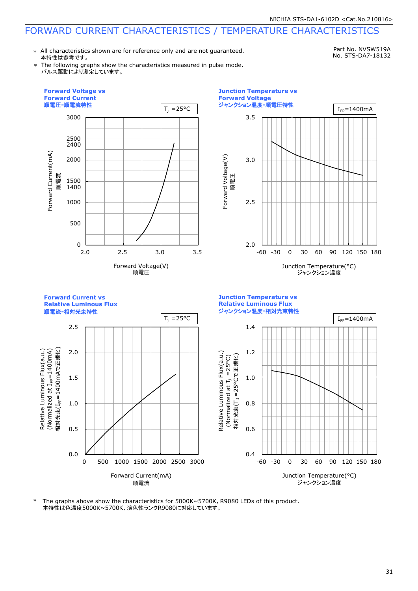\* All characteristics shown are for reference only and are not guaranteed. 本特性は参考です。

Part No. NVSW519A No. STS-DA7-18132

The following graphs show the characteristics measured in pulse mode. パルス駆動により測定しています。



The graphs above show the characteristics for  $5000K \sim 5700K$ , R9080 LEDs of this product. 本特性は色温度5000K~5700K、演色性ランクR9080に対応しています。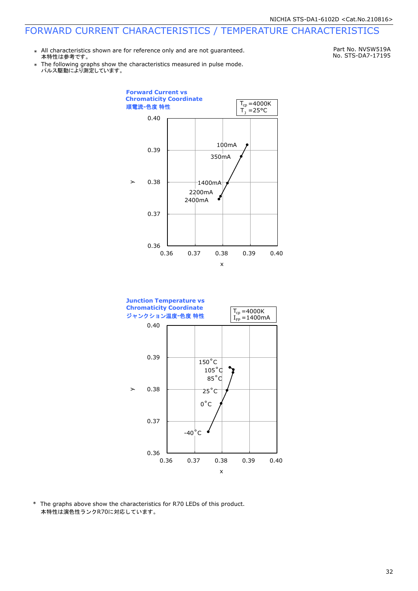\* All characteristics shown are for reference only and are not guaranteed. 本特性は参考です。

Part No. NVSW519A No. STS-DA7-17195

\* パルス駆動により測定しています。 The following graphs show the characteristics measured in pulse mode.





\* The graphs above show the characteristics for R70 LEDs of this product. 本特性は演色性ランクR70に対応しています。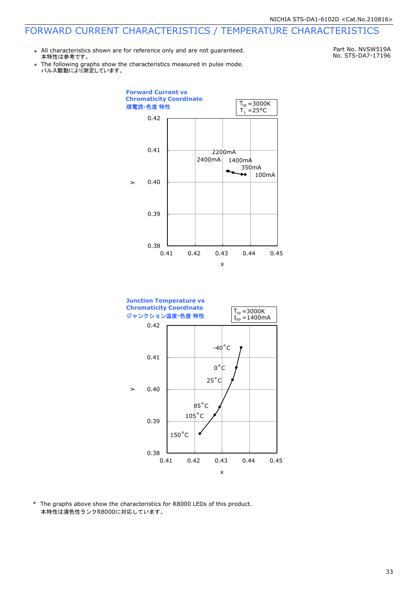\* All characteristics shown are for reference only and are not guaranteed. 本特性は参考です。

Part No. NVSW519A No. STS-DA7-17196

\* パルス駆動により測定しています。 The following graphs show the characteristics measured in pulse mode.





\* The graphs above show the characteristics for R8000 LEDs of this product. 本特性は演色性ランクR8000に対応しています。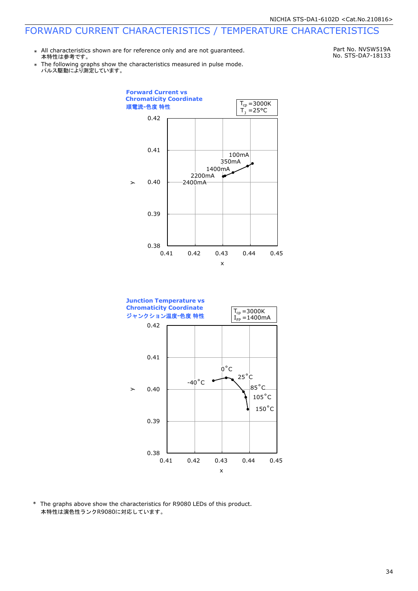\* All characteristics shown are for reference only and are not guaranteed. 本特性は参考です。

Part No. NVSW519A No. STS-DA7-18133

\* パルス駆動により測定しています。 The following graphs show the characteristics measured in pulse mode.





\* The graphs above show the characteristics for R9080 LEDs of this product. 本特性は演色性ランクR9080に対応しています。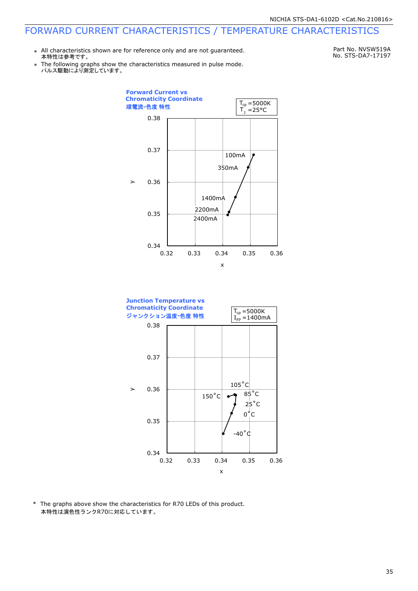\* All characteristics shown are for reference only and are not guaranteed. 本特性は参考です。

Part No. NVSW519A No. STS-DA7-17197

\* パルス駆動により測定しています。 The following graphs show the characteristics measured in pulse mode.





\* The graphs above show the characteristics for R70 LEDs of this product. 本特性は演色性ランクR70に対応しています。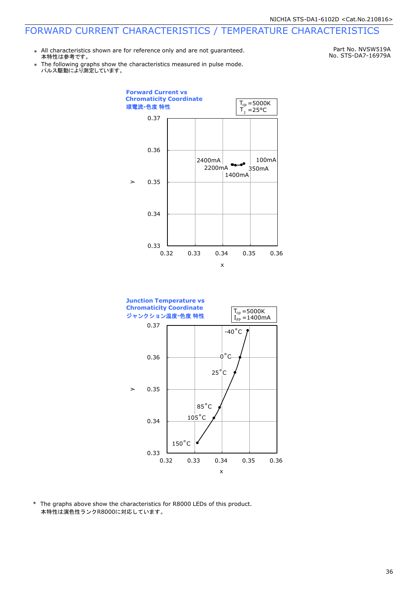\* All characteristics shown are for reference only and are not guaranteed. 本特性は参考です。

Part No. NVSW519A No. STS-DA7-16979A

\* パルス駆動により測定しています。 The following graphs show the characteristics measured in pulse mode.





\* The graphs above show the characteristics for R8000 LEDs of this product. 本特性は演色性ランクR8000に対応しています。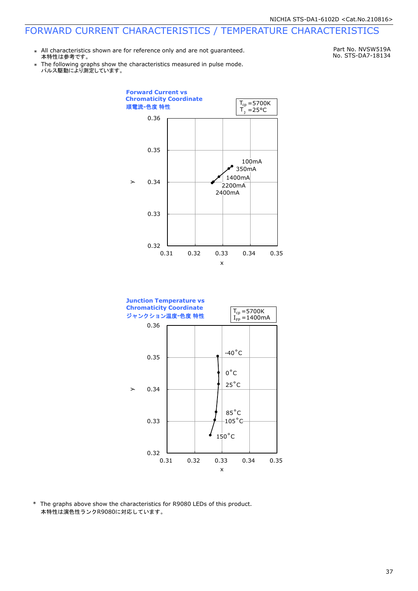\* All characteristics shown are for reference only and are not guaranteed. 本特性は参考です。

Part No. NVSW519A No. STS-DA7-18134

\* Ine following graphs show th<br>パルス駆動により測定しています。 The following graphs show the characteristics measured in pulse mode.





\* The graphs above show the characteristics for R9080 LEDs of this product. 本特性は演色性ランクR9080に対応しています。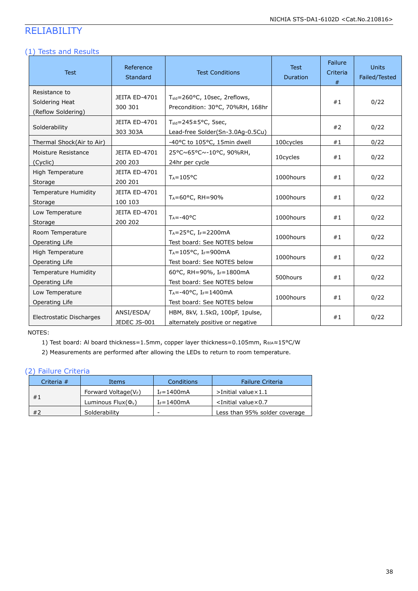## RELIABILITY

#### (1) Tests and Results

| <b>Test</b>                                           | Reference<br>Standard           | <b>Test Conditions</b>                                                            | <b>Test</b><br>Duration | <b>Failure</b><br>Criteria<br># | <b>Units</b><br>Failed/Tested |
|-------------------------------------------------------|---------------------------------|-----------------------------------------------------------------------------------|-------------------------|---------------------------------|-------------------------------|
| Resistance to<br>Soldering Heat<br>(Reflow Soldering) | JEITA ED-4701<br>300 301        | T <sub>sld</sub> =260°C, 10sec, 2reflows,<br>Precondition: 30°C, 70%RH, 168hr     |                         | #1                              | 0/22                          |
| Solderability                                         | JEITA ED-4701<br>303 303A       | $T_{\text{std}} = 245 \pm 5^{\circ}$ C, 5sec,<br>Lead-free Solder(Sn-3.0Ag-0.5Cu) |                         | #2                              | 0/22                          |
| Thermal Shock(Air to Air)                             |                                 | -40°C to 105°C, 15min dwell                                                       | 100cycles               | #1                              | 0/22                          |
| Moisture Resistance<br>(Cyclic)                       | JEITA ED-4701<br>200 203        | 25°C~65°C~-10°C, 90%RH,<br>24hr per cycle                                         | 10cycles                | #1                              | 0/22                          |
| High Temperature<br>Storage                           | JEITA ED-4701<br>200 201        | $T_A = 105$ °C                                                                    | 1000hours               | #1                              | 0/22                          |
| Temperature Humidity<br>Storage                       | <b>JEITA ED-4701</b><br>100 103 | $T_A = 60^{\circ}$ C, RH = 90%                                                    | 1000hours               | #1                              | 0/22                          |
| Low Temperature<br>Storage                            | <b>JEITA ED-4701</b><br>200 202 | $T_A = -40$ °C                                                                    | 1000hours               | #1                              | 0/22                          |
| Room Temperature<br>Operating Life                    |                                 | $T_A = 25$ °C, I <sub>F</sub> =2200mA<br>Test board: See NOTES below              | 1000hours               | #1                              | 0/22                          |
| High Temperature<br>Operating Life                    |                                 | $T_A = 105^{\circ}C$ , I <sub>F</sub> =900mA<br>Test board: See NOTES below       | 1000hours               | #1                              | 0/22                          |
| Temperature Humidity<br>Operating Life                |                                 | 60°C, RH=90%, IF=1800mA<br>Test board: See NOTES below                            | 500hours                | #1                              | 0/22                          |
| Low Temperature<br>Operating Life                     |                                 | $T_A = -40$ °C, I <sub>F</sub> =1400mA<br>Test board: See NOTES below             | 1000hours               | #1                              | 0/22                          |
| Electrostatic Discharges                              | ANSI/ESDA/<br>JEDEC JS-001      | HBM, 8kV, 1.5kΩ, 100pF, 1pulse,<br>alternately positive or negative               |                         | #1                              | 0/22                          |

NOTES:

1) Test board: Al board thickness=1.5mm, copper layer thickness=0.105mm, R<sub>0JA</sub>≈15°C/W

2) Measurements are performed after allowing the LEDs to return to room temperature.

#### (2) Failure Criteria

| Criteria # | Items                    | Conditions               | <b>Failure Criteria</b>          |
|------------|--------------------------|--------------------------|----------------------------------|
|            | Forward Voltage( $V_F$ ) | $I_F = 1400 \text{mA}$   | $>$ Initial value $\times$ 1.1   |
| #1         | Luminous $Flux(\Phi_v)$  | $I_F = 1400 \text{mA}$   | $\le$ Initial value $\times$ 0.7 |
| #2         | Solderability            | $\overline{\phantom{0}}$ | Less than 95% solder coverage    |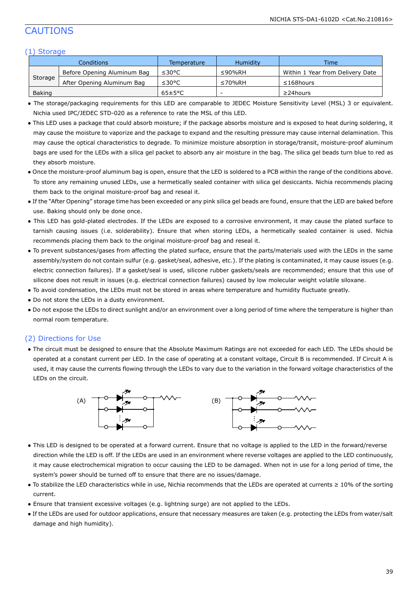## CAUTIONS

#### (1) Storage

| Conditions |                             | Temperature          | <b>Humidity</b> | <b>Time</b>                      |
|------------|-----------------------------|----------------------|-----------------|----------------------------------|
|            | Before Opening Aluminum Bag | ≤30°C                | $\leq$ 90%RH    | Within 1 Year from Delivery Date |
| Storage    | After Opening Aluminum Bag  | ≤30°C                | ≤70%RH          | $\leq$ 168 hours                 |
| Baking     |                             | $65 \pm 5^{\circ}$ C | -               | $\geq$ 24 hours                  |

● The storage/packaging requirements for this LED are comparable to JEDEC Moisture Sensitivity Level (MSL) 3 or equivalent. Nichia used IPC/JEDEC STD-020 as a reference to rate the MSL of this LED.

- This LED uses a package that could absorb moisture; if the package absorbs moisture and is exposed to heat during soldering, it may cause the moisture to vaporize and the package to expand and the resulting pressure may cause internal delamination. This may cause the optical characteristics to degrade. To minimize moisture absorption in storage/transit, moisture-proof aluminum bags are used for the LEDs with a silica gel packet to absorb any air moisture in the bag. The silica gel beads turn blue to red as they absorb moisture.
- Once the moisture-proof aluminum bag is open, ensure that the LED is soldered to a PCB within the range of the conditions above. To store any remaining unused LEDs, use a hermetically sealed container with silica gel desiccants. Nichia recommends placing them back to the original moisture-proof bag and reseal it.
- If the "After Opening" storage time has been exceeded or any pink silica gel beads are found, ensure that the LED are baked before use. Baking should only be done once.
- This LED has gold-plated electrodes. If the LEDs are exposed to a corrosive environment, it may cause the plated surface to tarnish causing issues (i.e. solderability). Ensure that when storing LEDs, a hermetically sealed container is used. Nichia recommends placing them back to the original moisture-proof bag and reseal it.
- To prevent substances/gases from affecting the plated surface, ensure that the parts/materials used with the LEDs in the same assembly/system do not contain sulfur (e.g. gasket/seal, adhesive, etc.). If the plating is contaminated, it may cause issues (e.g. electric connection failures). If a gasket/seal is used, silicone rubber gaskets/seals are recommended; ensure that this use of silicone does not result in issues (e.g. electrical connection failures) caused by low molecular weight volatile siloxane.
- To avoid condensation, the LEDs must not be stored in areas where temperature and humidity fluctuate greatly.
- Do not store the LEDs in a dusty environment.
- Do not expose the LEDs to direct sunlight and/or an environment over a long period of time where the temperature is higher than normal room temperature.

#### (2) Directions for Use

● The circuit must be designed to ensure that the Absolute Maximum Ratings are not exceeded for each LED. The LEDs should be operated at a constant current per LED. In the case of operating at a constant voltage, Circuit B is recommended. If Circuit A is used, it may cause the currents flowing through the LEDs to vary due to the variation in the forward voltage characteristics of the LEDs on the circuit.



- This LED is designed to be operated at a forward current. Ensure that no voltage is applied to the LED in the forward/reverse direction while the LED is off. If the LEDs are used in an environment where reverse voltages are applied to the LED continuously, it may cause electrochemical migration to occur causing the LED to be damaged. When not in use for a long period of time, the system's power should be turned off to ensure that there are no issues/damage.
- To stabilize the LED characteristics while in use, Nichia recommends that the LEDs are operated at currents ≥ 10% of the sorting current.
- Ensure that transient excessive voltages (e.g. lightning surge) are not applied to the LEDs.
- If the LEDs are used for outdoor applications, ensure that necessary measures are taken (e.g. protecting the LEDs from water/salt damage and high humidity).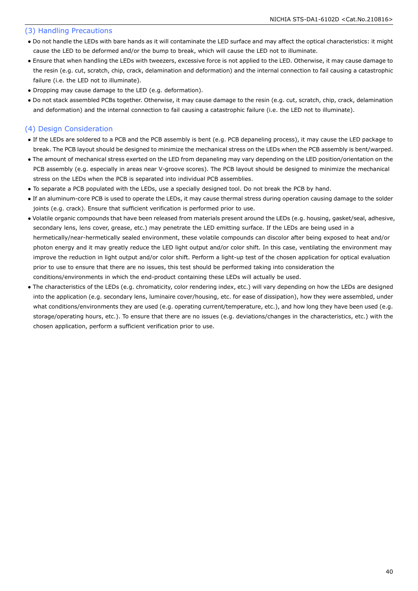#### (3) Handling Precautions

- Do not handle the LEDs with bare hands as it will contaminate the LED surface and may affect the optical characteristics: it might cause the LED to be deformed and/or the bump to break, which will cause the LED not to illuminate.
- Ensure that when handling the LEDs with tweezers, excessive force is not applied to the LED. Otherwise, it may cause damage to the resin (e.g. cut, scratch, chip, crack, delamination and deformation) and the internal connection to fail causing a catastrophic failure (i.e. the LED not to illuminate).
- Dropping may cause damage to the LED (e.g. deformation).
- Do not stack assembled PCBs together. Otherwise, it may cause damage to the resin (e.g. cut, scratch, chip, crack, delamination and deformation) and the internal connection to fail causing a catastrophic failure (i.e. the LED not to illuminate).

#### (4) Design Consideration

- If the LEDs are soldered to a PCB and the PCB assembly is bent (e.g. PCB depaneling process), it may cause the LED package to break. The PCB layout should be designed to minimize the mechanical stress on the LEDs when the PCB assembly is bent/warped.
- The amount of mechanical stress exerted on the LED from depaneling may vary depending on the LED position/orientation on the PCB assembly (e.g. especially in areas near V-groove scores). The PCB layout should be designed to minimize the mechanical stress on the LEDs when the PCB is separated into individual PCB assemblies.
- To separate a PCB populated with the LEDs, use a specially designed tool. Do not break the PCB by hand.
- If an aluminum-core PCB is used to operate the LEDs, it may cause thermal stress during operation causing damage to the solder joints (e.g. crack). Ensure that sufficient verification is performed prior to use.
- Volatile organic compounds that have been released from materials present around the LEDs (e.g. housing, gasket/seal, adhesive, secondary lens, lens cover, grease, etc.) may penetrate the LED emitting surface. If the LEDs are being used in a hermetically/near-hermetically sealed environment, these volatile compounds can discolor after being exposed to heat and/or photon energy and it may greatly reduce the LED light output and/or color shift. In this case, ventilating the environment may improve the reduction in light output and/or color shift. Perform a light-up test of the chosen application for optical evaluation prior to use to ensure that there are no issues, this test should be performed taking into consideration the conditions/environments in which the end-product containing these LEDs will actually be used.
- The characteristics of the LEDs (e.g. chromaticity, color rendering index, etc.) will vary depending on how the LEDs are designed into the application (e.g. secondary lens, luminaire cover/housing, etc. for ease of dissipation), how they were assembled, under what conditions/environments they are used (e.g. operating current/temperature, etc.), and how long they have been used (e.g. storage/operating hours, etc.). To ensure that there are no issues (e.g. deviations/changes in the characteristics, etc.) with the chosen application, perform a sufficient verification prior to use.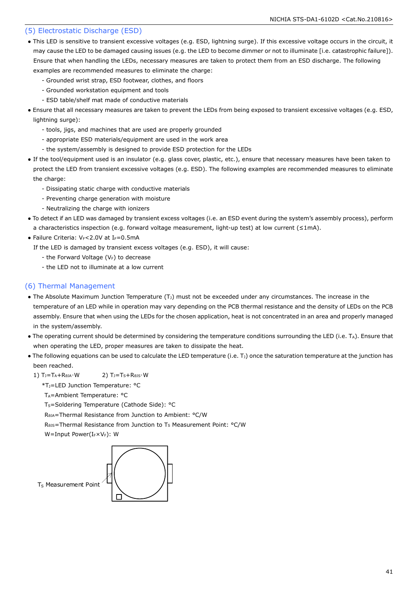#### (5) Electrostatic Discharge (ESD)

- This LED is sensitive to transient excessive voltages (e.g. ESD, lightning surge). If this excessive voltage occurs in the circuit, it may cause the LED to be damaged causing issues (e.g. the LED to become dimmer or not to illuminate [i.e. catastrophic failure]). Ensure that when handling the LEDs, necessary measures are taken to protect them from an ESD discharge. The following examples are recommended measures to eliminate the charge:
	- Grounded wrist strap, ESD footwear, clothes, and floors
	- Grounded workstation equipment and tools
	- ESD table/shelf mat made of conductive materials
- Ensure that all necessary measures are taken to prevent the LEDs from being exposed to transient excessive voltages (e.g. ESD, lightning surge):
	- tools, jigs, and machines that are used are properly grounded
	- appropriate ESD materials/equipment are used in the work area
	- the system/assembly is designed to provide ESD protection for the LEDs
- If the tool/equipment used is an insulator (e.g. glass cover, plastic, etc.), ensure that necessary measures have been taken to protect the LED from transient excessive voltages (e.g. ESD). The following examples are recommended measures to eliminate the charge:
	- Dissipating static charge with conductive materials
	- Preventing charge generation with moisture
	- Neutralizing the charge with ionizers
- To detect if an LED was damaged by transient excess voltages (i.e. an ESD event during the system's assembly process), perform a characteristics inspection (e.g. forward voltage measurement, light-up test) at low current (≤1mA).
- Failure Criteria:  $V_F$ <2.0V at I $_F$ =0.5mA

If the LED is damaged by transient excess voltages (e.g. ESD), it will cause:

- the Forward Voltage  $(V_F)$  to decrease
- the LED not to illuminate at a low current

#### (6) Thermal Management

- The Absolute Maximum Junction Temperature  $(T<sub>J</sub>)$  must not be exceeded under any circumstances. The increase in the temperature of an LED while in operation may vary depending on the PCB thermal resistance and the density of LEDs on the PCB assembly. Ensure that when using the LEDs for the chosen application, heat is not concentrated in an area and properly managed in the system/assembly.
- The operating current should be determined by considering the temperature conditions surrounding the LED (i.e. T<sub>A</sub>). Ensure that when operating the LED, proper measures are taken to dissipate the heat.
- The following equations can be used to calculate the LED temperature (i.e. T<sub>J</sub>) once the saturation temperature at the junction has been reached.
	- 1)  $T_J = T_A + R_{\thetaJA} \cdot W$  2)  $T_J = T_S + R_{\thetaJs} \cdot W$

\*TJ=LED Junction Temperature: °C

T<sub>A</sub>=Ambient Temperature: °C

T<sub>s</sub>=Soldering Temperature (Cathode Side): °C

RθJA=Thermal Resistance from Junction to Ambient: °C/W

R<sub>0JS</sub>=Thermal Resistance from Junction to T<sub>S</sub> Measurement Point: °C/W

W=Input Power(IFXVF): W

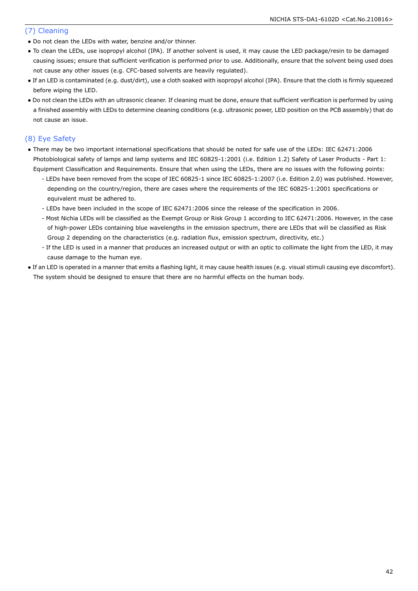#### (7) Cleaning

- Do not clean the LEDs with water, benzine and/or thinner.
- To clean the LEDs, use isopropyl alcohol (IPA). If another solvent is used, it may cause the LED package/resin to be damaged causing issues; ensure that sufficient verification is performed prior to use. Additionally, ensure that the solvent being used does not cause any other issues (e.g. CFC-based solvents are heavily regulated).
- If an LED is contaminated (e.g. dust/dirt), use a cloth soaked with isopropyl alcohol (IPA). Ensure that the cloth is firmly squeezed before wiping the LED.
- Do not clean the LEDs with an ultrasonic cleaner. If cleaning must be done, ensure that sufficient verification is performed by using a finished assembly with LEDs to determine cleaning conditions (e.g. ultrasonic power, LED position on the PCB assembly) that do not cause an issue.

#### (8) Eye Safety

- There may be two important international specifications that should be noted for safe use of the LEDs: IEC 62471:2006 Photobiological safety of lamps and lamp systems and IEC 60825-1:2001 (i.e. Edition 1.2) Safety of Laser Products - Part 1: Equipment Classification and Requirements. Ensure that when using the LEDs, there are no issues with the following points:
	- LEDs have been removed from the scope of IEC 60825-1 since IEC 60825-1:2007 (i.e. Edition 2.0) was published. However, depending on the country/region, there are cases where the requirements of the IEC 60825-1:2001 specifications or equivalent must be adhered to.
	- LEDs have been included in the scope of IEC 62471:2006 since the release of the specification in 2006.
	- Most Nichia LEDs will be classified as the Exempt Group or Risk Group 1 according to IEC 62471:2006. However, in the case of high-power LEDs containing blue wavelengths in the emission spectrum, there are LEDs that will be classified as Risk Group 2 depending on the characteristics (e.g. radiation flux, emission spectrum, directivity, etc.)
	- If the LED is used in a manner that produces an increased output or with an optic to collimate the light from the LED, it may cause damage to the human eye.
- If an LED is operated in a manner that emits a flashing light, it may cause health issues (e.g. visual stimuli causing eye discomfort). The system should be designed to ensure that there are no harmful effects on the human body.